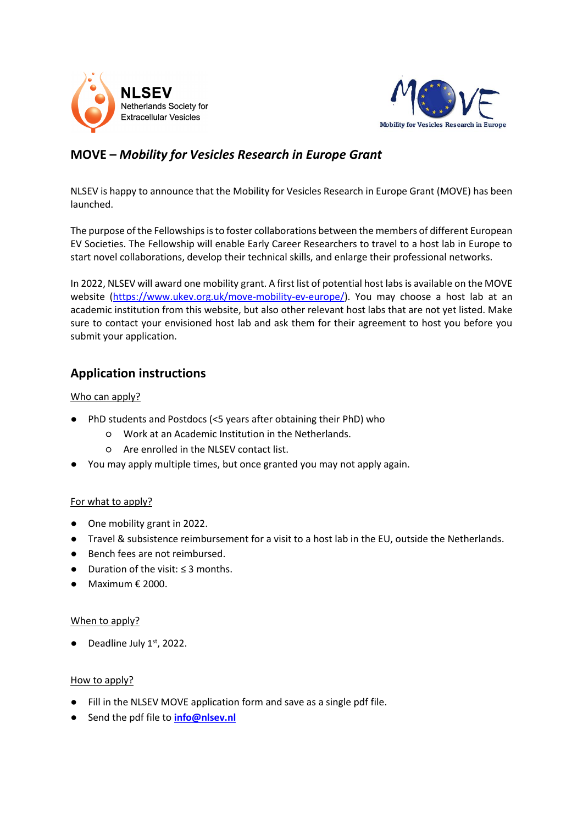



# **MOVE –** *Mobility for Vesicles Research in Europe Grant*

NLSEV is happy to announce that the Mobility for Vesicles Research in Europe Grant (MOVE) has been launched.

The purpose of the Fellowships is to foster collaborations between the members of different European EV Societies. The Fellowship will enable Early Career Researchers to travel to a host lab in Europe to start novel collaborations, develop their technical skills, and enlarge their professional networks.

In 2022, NLSEV will award one mobility grant. A first list of potential host labs is available on the MOVE website [\(https://www.ukev.org.uk/move-mobility-ev-europe/\)](https://www.ukev.org.uk/move-mobility-ev-europe/). You may choose a host lab at an academic institution from this website, but also other relevant host labs that are not yet listed. Make sure to contact your envisioned host lab and ask them for their agreement to host you before you submit your application.

# **Application instructions**

## Who can apply?

- PhD students and Postdocs (<5 years after obtaining their PhD) who
	- Work at an Academic Institution in the Netherlands.
	- Are enrolled in the NLSEV contact list.
- You may apply multiple times, but once granted you may not apply again.

#### For what to apply?

- One mobility grant in 2022.
- Travel & subsistence reimbursement for a visit to a host lab in the EU, outside the Netherlands.
- Bench fees are not reimbursed.
- Duration of the visit: ≤ 3 months.
- $\bullet$  Maximum  $\epsilon$  2000.

#### When to apply?

 $\bullet$  Deadline July 1st, 2022.

#### How to apply?

- Fill in the NLSEV MOVE application form and save as a single pdf file.
- Send the pdf file to **[info@nlsev.nl](mailto:info@nlsev.nl)**